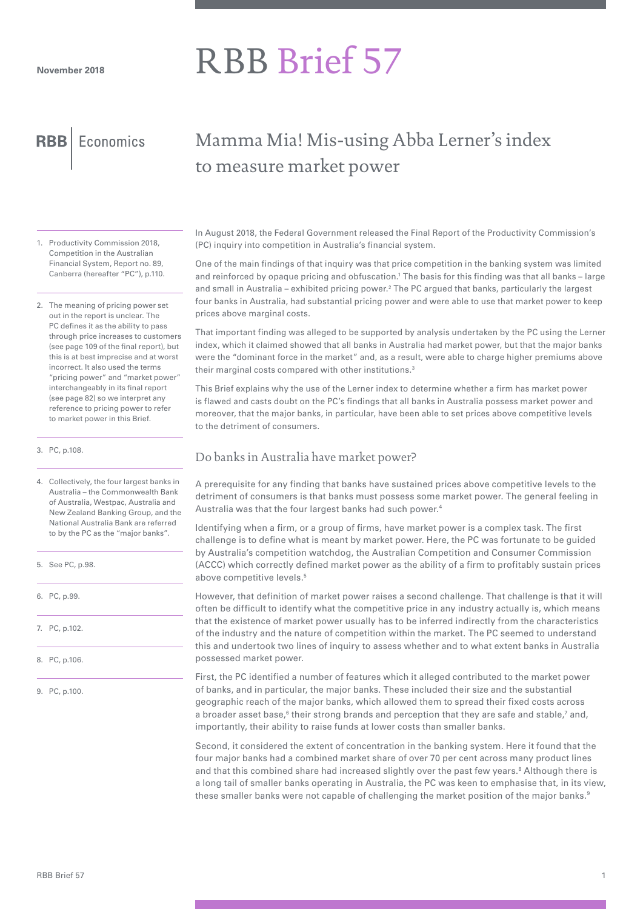# RBB Brief 57

**RBB** Economics

# Mamma Mia! Mis-using Abba Lerner's index to measure market power

- 1. Productivity Commission 2018, Competition in the Australian Financial System, Report no. 89, Canberra (hereafter "PC"), p.110.
- 2. The meaning of pricing power set out in the report is unclear. The PC defines it as the ability to pass through price increases to customers (see page 109 of the final report), but this is at best imprecise and at worst incorrect. It also used the terms "pricing power" and "market power" interchangeably in its final report (see page 82) so we interpret any reference to pricing power to refer to market power in this Brief.
- 3. PC, p.108.

4. Collectively, the four largest banks in Australia – the Commonwealth Bank of Australia, Westpac, Australia and New Zealand Banking Group, and the National Australia Bank are referred to by the PC as the "major banks".

- 5. See PC, p.98.
- 6. PC, p.99.
- 7. PC, p.102.
- 8. PC, p.106.

9. PC, p.100.

In August 2018, the Federal Government released the Final Report of the Productivity Commission's (PC) inquiry into competition in Australia's financial system.

One of the main findings of that inquiry was that price competition in the banking system was limited and reinforced by opaque pricing and obfuscation.<sup>1</sup> The basis for this finding was that all banks – large and small in Australia – exhibited pricing power.2 The PC argued that banks, particularly the largest four banks in Australia, had substantial pricing power and were able to use that market power to keep prices above marginal costs.

That important finding was alleged to be supported by analysis undertaken by the PC using the Lerner index, which it claimed showed that all banks in Australia had market power, but that the major banks were the "dominant force in the market" and, as a result, were able to charge higher premiums above their marginal costs compared with other institutions.<sup>3</sup>

This Brief explains why the use of the Lerner index to determine whether a firm has market power is flawed and casts doubt on the PC's findings that all banks in Australia possess market power and moreover, that the major banks, in particular, have been able to set prices above competitive levels to the detriment of consumers.

# Do banks in Australia have market power?

A prerequisite for any finding that banks have sustained prices above competitive levels to the detriment of consumers is that banks must possess some market power. The general feeling in Australia was that the four largest banks had such power.4

Identifying when a firm, or a group of firms, have market power is a complex task. The first challenge is to define what is meant by market power. Here, the PC was fortunate to be guided by Australia's competition watchdog, the Australian Competition and Consumer Commission (ACCC) which correctly defined market power as the ability of a firm to profitably sustain prices above competitive levels.<sup>5</sup>

However, that definition of market power raises a second challenge. That challenge is that it will often be difficult to identify what the competitive price in any industry actually is, which means that the existence of market power usually has to be inferred indirectly from the characteristics of the industry and the nature of competition within the market. The PC seemed to understand this and undertook two lines of inquiry to assess whether and to what extent banks in Australia possessed market power.

First, the PC identified a number of features which it alleged contributed to the market power of banks, and in particular, the major banks. These included their size and the substantial geographic reach of the major banks, which allowed them to spread their fixed costs across a broader asset base,<sup>6</sup> their strong brands and perception that they are safe and stable,<sup>7</sup> and, importantly, their ability to raise funds at lower costs than smaller banks.

Second, it considered the extent of concentration in the banking system. Here it found that the four major banks had a combined market share of over 70 per cent across many product lines and that this combined share had increased slightly over the past few years.<sup>8</sup> Although there is a long tail of smaller banks operating in Australia, the PC was keen to emphasise that, in its view, these smaller banks were not capable of challenging the market position of the major banks.<sup>9</sup>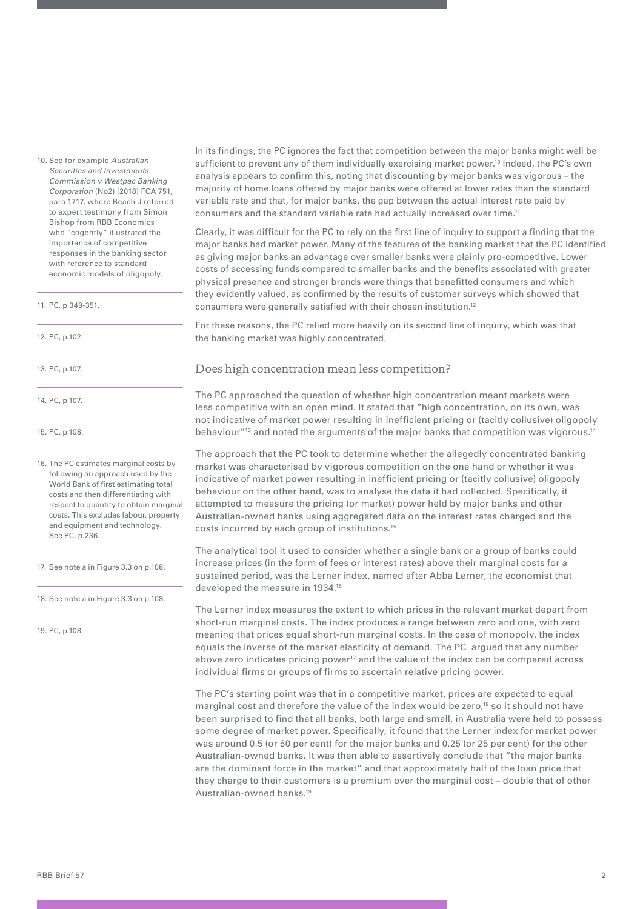10. See for example *Australian Securities and Investments Commission v Westpac Banking Corporation* (No2) [2018] FCA 751, para 1717, where Beach J referred to expert testimony from Simon Bishop from RBB Economics who "cogently" illustrated the importance of competitive responses in the banking sector with reference to standard economic models of oligopoly.

11. PC, p.349-351.

12. PC, p.102.

13. PC, p.107.

14. PC, p.107.

15. PC, p.108.

16. The PC estimates marginal costs by following an approach used by the World Bank of first estimating total costs and then differentiating with respect to quantity to obtain marginal costs. This excludes labour, property and equipment and technology. See PC, p.236.

17. See note a in Figure 3.3 on p.108.

18. See note a in Figure 3.3 on p.108.

19. PC, p.108.

In its findings, the PC ignores the fact that competition between the major banks might well be sufficient to prevent any of them individually exercising market power.<sup>10</sup> Indeed, the PC's own analysis appears to confirm this, noting that discounting by major banks was vigorous – the majority of home loans offered by major banks were offered at lower rates than the standard variable rate and that, for major banks, the gap between the actual interest rate paid by consumers and the standard variable rate had actually increased over time.11

Clearly, it was difficult for the PC to rely on the first line of inquiry to support a finding that the major banks had market power. Many of the features of the banking market that the PC identified as giving major banks an advantage over smaller banks were plainly pro-competitive. Lower costs of accessing funds compared to smaller banks and the benefits associated with greater physical presence and stronger brands were things that benefitted consumers and which they evidently valued, as confirmed by the results of customer surveys which showed that consumers were generally satisfied with their chosen institution.12

For these reasons, the PC relied more heavily on its second line of inquiry, which was that the banking market was highly concentrated.

### Does high concentration mean less competition?

The PC approached the question of whether high concentration meant markets were less competitive with an open mind. It stated that "high concentration, on its own, was not indicative of market power resulting in inefficient pricing or (tacitly collusive) oligopoly behaviour"<sup>13</sup> and noted the arguments of the major banks that competition was vigorous.<sup>14</sup>

The approach that the PC took to determine whether the allegedly concentrated banking market was characterised by vigorous competition on the one hand or whether it was indicative of market power resulting in inefficient pricing or (tacitly collusive) oligopoly behaviour on the other hand, was to analyse the data it had collected. Specifically, it attempted to measure the pricing (or market) power held by major banks and other Australian-owned banks using aggregated data on the interest rates charged and the costs incurred by each group of institutions.15

The analytical tool it used to consider whether a single bank or a group of banks could increase prices (in the form of fees or interest rates) above their marginal costs for a sustained period, was the Lerner index, named after Abba Lerner, the economist that developed the measure in 1934.16

The Lerner index measures the extent to which prices in the relevant market depart from short-run marginal costs. The index produces a range between zero and one, with zero meaning that prices equal short-run marginal costs. In the case of monopoly, the index equals the inverse of the market elasticity of demand. The PC argued that any number above zero indicates pricing power $17$  and the value of the index can be compared across individual firms or groups of firms to ascertain relative pricing power.

The PC's starting point was that in a competitive market, prices are expected to equal marginal cost and therefore the value of the index would be zero,<sup>18</sup> so it should not have been surprised to find that all banks, both large and small, in Australia were held to possess some degree of market power. Specifically, it found that the Lerner index for market power was around 0.5 (or 50 per cent) for the major banks and 0.25 (or 25 per cent) for the other Australian-owned banks. It was then able to assertively conclude that "the major banks are the dominant force in the market" and that approximately half of the loan price that they charge to their customers is a premium over the marginal cost – double that of other Australian-owned banks.19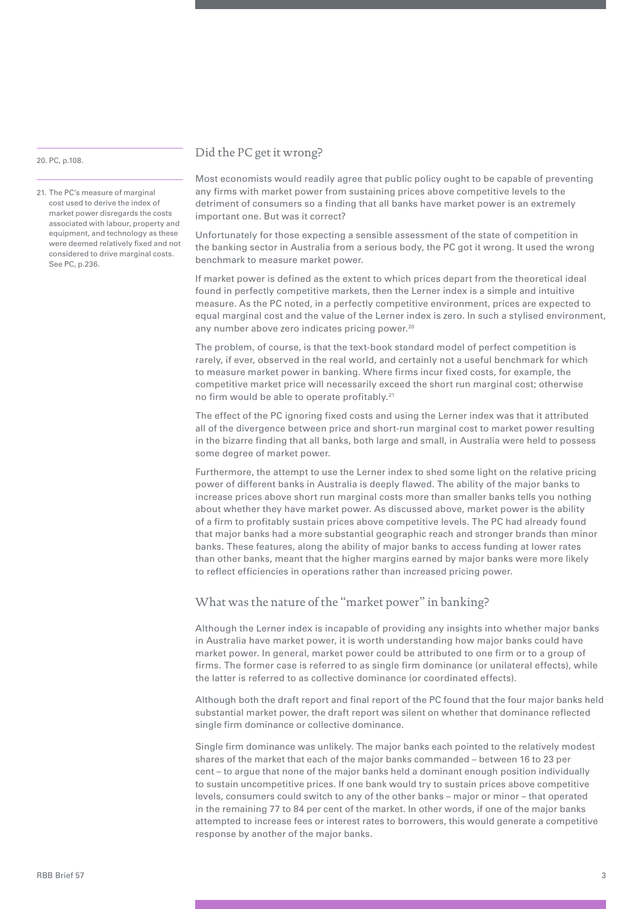#### 20. PC, p.108.

21. The PC's measure of marginal cost used to derive the index of market power disregards the costs associated with labour, property and equipment, and technology as these were deemed relatively fixed and not considered to drive marginal costs. See PC, p.236.

## Did the PC get it wrong?

Most economists would readily agree that public policy ought to be capable of preventing any firms with market power from sustaining prices above competitive levels to the detriment of consumers so a finding that all banks have market power is an extremely important one. But was it correct?

Unfortunately for those expecting a sensible assessment of the state of competition in the banking sector in Australia from a serious body, the PC got it wrong. It used the wrong benchmark to measure market power.

If market power is defined as the extent to which prices depart from the theoretical ideal found in perfectly competitive markets, then the Lerner index is a simple and intuitive measure. As the PC noted, in a perfectly competitive environment, prices are expected to equal marginal cost and the value of the Lerner index is zero. In such a stylised environment, any number above zero indicates pricing power.<sup>20</sup>

The problem, of course, is that the text-book standard model of perfect competition is rarely, if ever, observed in the real world, and certainly not a useful benchmark for which to measure market power in banking. Where firms incur fixed costs, for example, the competitive market price will necessarily exceed the short run marginal cost; otherwise no firm would be able to operate profitably.<sup>21</sup>

The effect of the PC ignoring fixed costs and using the Lerner index was that it attributed all of the divergence between price and short-run marginal cost to market power resulting in the bizarre finding that all banks, both large and small, in Australia were held to possess some degree of market power.

Furthermore, the attempt to use the Lerner index to shed some light on the relative pricing power of different banks in Australia is deeply flawed. The ability of the major banks to increase prices above short run marginal costs more than smaller banks tells you nothing about whether they have market power. As discussed above, market power is the ability of a firm to profitably sustain prices above competitive levels. The PC had already found that major banks had a more substantial geographic reach and stronger brands than minor banks. These features, along the ability of major banks to access funding at lower rates than other banks, meant that the higher margins earned by major banks were more likely to reflect efficiencies in operations rather than increased pricing power.

# What was the nature of the "market power" in banking?

Although the Lerner index is incapable of providing any insights into whether major banks in Australia have market power, it is worth understanding how major banks could have market power. In general, market power could be attributed to one firm or to a group of firms. The former case is referred to as single firm dominance (or unilateral effects), while the latter is referred to as collective dominance (or coordinated effects).

Although both the draft report and final report of the PC found that the four major banks held substantial market power, the draft report was silent on whether that dominance reflected single firm dominance or collective dominance.

Single firm dominance was unlikely. The major banks each pointed to the relatively modest shares of the market that each of the major banks commanded – between 16 to 23 per cent – to argue that none of the major banks held a dominant enough position individually to sustain uncompetitive prices. If one bank would try to sustain prices above competitive levels, consumers could switch to any of the other banks – major or minor – that operated in the remaining 77 to 84 per cent of the market. In other words, if one of the major banks attempted to increase fees or interest rates to borrowers, this would generate a competitive response by another of the major banks.